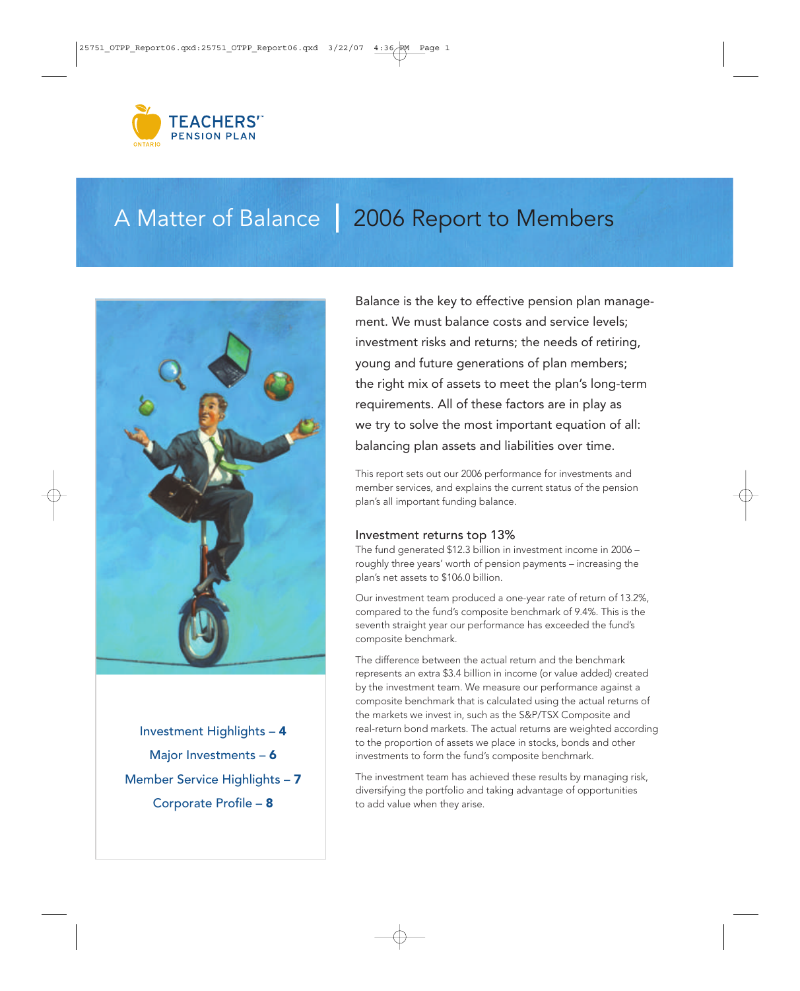

# A Matter of Balance | 2006 Report to Members



Investment Highlights – 4 Major Investments - 6 Member Service Highlights – 7 Corporate Profile – 8

Balance is the key to effective pension plan management. We must balance costs and service levels; investment risks and returns; the needs of retiring, young and future generations of plan members; the right mix of assets to meet the plan's long-term requirements. All of these factors are in play as we try to solve the most important equation of all: balancing plan assets and liabilities over time.

This report sets out our 2006 performance for investments and member services, and explains the current status of the pension plan's all important funding balance.

# Investment returns top 13%

The fund generated \$12.3 billion in investment income in 2006 – roughly three years' worth of pension payments – increasing the plan's net assets to \$106.0 billion.

Our investment team produced a one-year rate of return of 13.2%, compared to the fund's composite benchmark of 9.4%. This is the seventh straight year our performance has exceeded the fund's composite benchmark.

The difference between the actual return and the benchmark represents an extra \$3.4 billion in income (or value added) created by the investment team. We measure our performance against a composite benchmark that is calculated using the actual returns of the markets we invest in, such as the S&P/TSX Composite and real-return bond markets. The actual returns are weighted according to the proportion of assets we place in stocks, bonds and other investments to form the fund's composite benchmark.

The investment team has achieved these results by managing risk, diversifying the portfolio and taking advantage of opportunities to add value when they arise.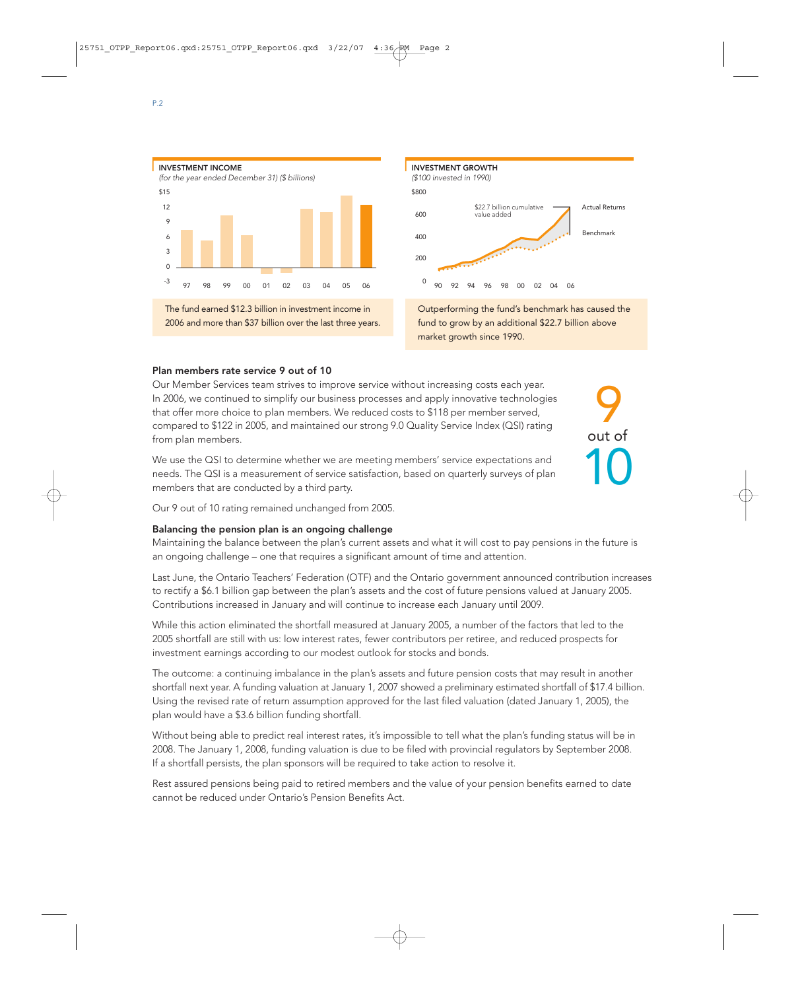



Outperforming the fund's benchmark has caused the fund to grow by an additional \$22.7 billion above market growth since 1990.

9

out of

10

### Plan members rate service 9 out of 10

Our Member Services team strives to improve service without increasing costs each year. In 2006, we continued to simplify our business processes and apply innovative technologies that offer more choice to plan members. We reduced costs to \$118 per member served, compared to \$122 in 2005, and maintained our strong 9.0 Quality Service Index (QSI) rating from plan members.

We use the QSI to determine whether we are meeting members' service expectations and needs. The QSI is a measurement of service satisfaction, based on quarterly surveys of plan members that are conducted by a third party.

Our 9 out of 10 rating remained unchanged from 2005.

#### Balancing the pension plan is an ongoing challenge

Maintaining the balance between the plan's current assets and what it will cost to pay pensions in the future is an ongoing challenge – one that requires a significant amount of time and attention.

Last June, the Ontario Teachers' Federation (OTF) and the Ontario government announced contribution increases to rectify a \$6.1 billion gap between the plan's assets and the cost of future pensions valued at January 2005. Contributions increased in January and will continue to increase each January until 2009.

While this action eliminated the shortfall measured at January 2005, a number of the factors that led to the 2005 shortfall are still with us: low interest rates, fewer contributors per retiree, and reduced prospects for investment earnings according to our modest outlook for stocks and bonds.

The outcome: a continuing imbalance in the plan's assets and future pension costs that may result in another shortfall next year. A funding valuation at January 1, 2007 showed a preliminary estimated shortfall of \$17.4 billion. Using the revised rate of return assumption approved for the last filed valuation (dated January 1, 2005), the plan would have a \$3.6 billion funding shortfall.

Without being able to predict real interest rates, it's impossible to tell what the plan's funding status will be in 2008. The January 1, 2008, funding valuation is due to be filed with provincial regulators by September 2008. If a shortfall persists, the plan sponsors will be required to take action to resolve it.

Rest assured pensions being paid to retired members and the value of your pension benefits earned to date cannot be reduced under Ontario's Pension Benefits Act.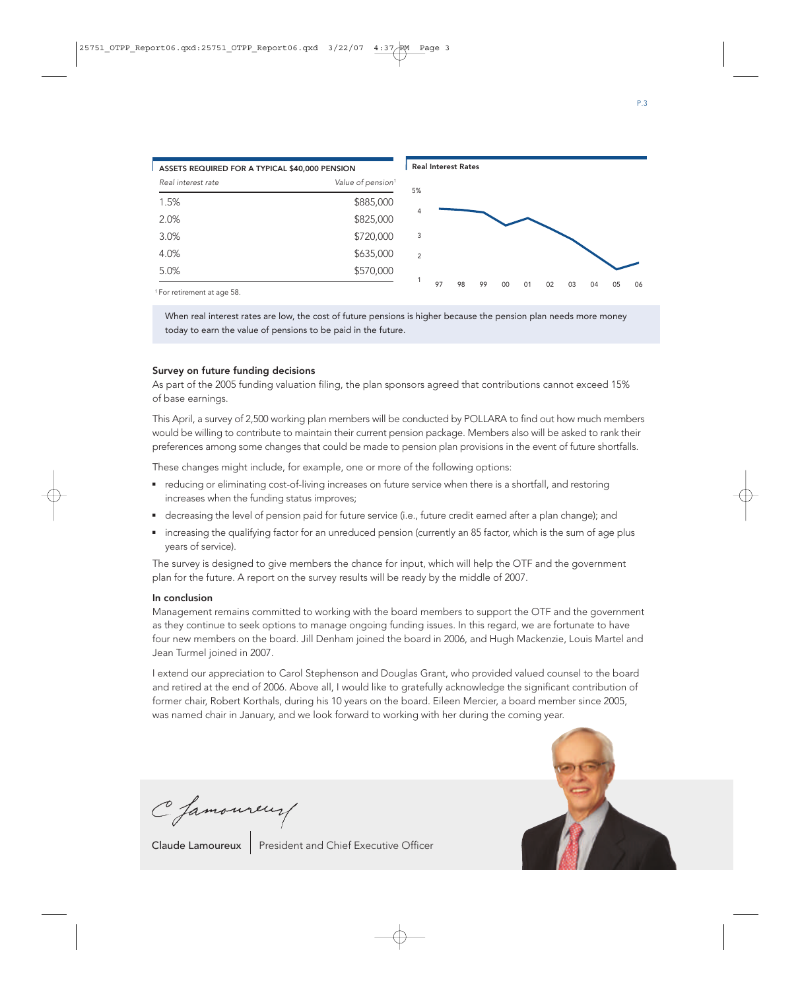

1 For retirement at age 58.

When real interest rates are low, the cost of future pensions is higher because the pension plan needs more money today to earn the value of pensions to be paid in the future.

### Survey on future funding decisions

As part of the 2005 funding valuation filing, the plan sponsors agreed that contributions cannot exceed 15% of base earnings.

This April, a survey of 2,500 working plan members will be conducted by POLLARA to find out how much members would be willing to contribute to maintain their current pension package. Members also will be asked to rank their preferences among some changes that could be made to pension plan provisions in the event of future shortfalls.

These changes might include, for example, one or more of the following options:

- reducing or eliminating cost-of-living increases on future service when there is a shortfall, and restoring increases when the funding status improves;
- decreasing the level of pension paid for future service (i.e., future credit earned after a plan change); and
- increasing the qualifying factor for an unreduced pension (currently an 85 factor, which is the sum of age plus years of service).

The survey is designed to give members the chance for input, which will help the OTF and the government plan for the future. A report on the survey results will be ready by the middle of 2007.

## In conclusion

Management remains committed to working with the board members to support the OTF and the government as they continue to seek options to manage ongoing funding issues. In this regard, we are fortunate to have four new members on the board. Jill Denham joined the board in 2006, and Hugh Mackenzie, Louis Martel and Jean Turmel joined in 2007.

I extend our appreciation to Carol Stephenson and Douglas Grant, who provided valued counsel to the board and retired at the end of 2006. Above all, I would like to gratefully acknowledge the significant contribution of former chair, Robert Korthals, during his 10 years on the board. Eileen Mercier, a board member since 2005, was named chair in January, and we look forward to working with her during the coming year.





Claude Lamoureux | President and Chief Executive Officer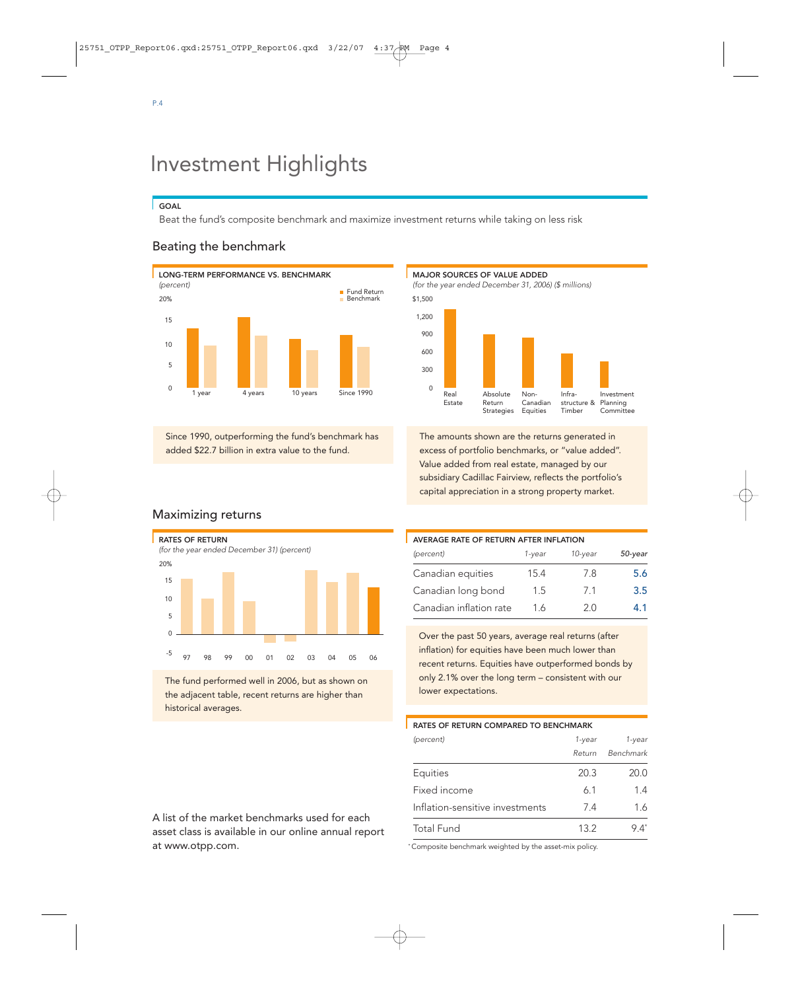# Investment Highlights

#### **GOAL**

Beat the fund's composite benchmark and maximize investment returns while taking on less risk

# Beating the benchmark



Since 1990, outperforming the fund's benchmark has added \$22.7 billion in extra value to the fund.





The amounts shown are the returns generated in excess of portfolio benchmarks, or "value added". Value added from real estate, managed by our subsidiary Cadillac Fairview, reflects the portfolio's capital appreciation in a strong property market.

# Maximizing returns



The fund performed well in 2006, but as shown on the adjacent table, recent returns are higher than historical averages.

# AVERAGE RATE OF RETURN AFTER INFLATION (percent) 1-year 10-year 50-year Canadian equities 15.4 7.8 5.6 Canadian long bond 1.5 7.1 3.5 Canadian inflation rate 1.6 2.0 4.1

Over the past 50 years, average real returns (after inflation) for equities have been much lower than recent returns. Equities have outperformed bonds by only 2.1% over the long term – consistent with our lower expectations.

#### RATES OF RETURN COMPARED TO BENCHMARK

| (percent)                       | 1-year | 1-year    |
|---------------------------------|--------|-----------|
|                                 | Return | Benchmark |
| Equities                        | 20.3   | 20.0      |
| Fixed income                    | 6.1    | 1.4       |
| Inflation-sensitive investments | 74     | 1.6       |
| <b>Total Fund</b>               | 13.2   | 94*       |

A list of the market benchmarks used for each asset class is available in our online annual report at www.otpp.com.

\* Composite benchmark weighted by the asset-mix policy.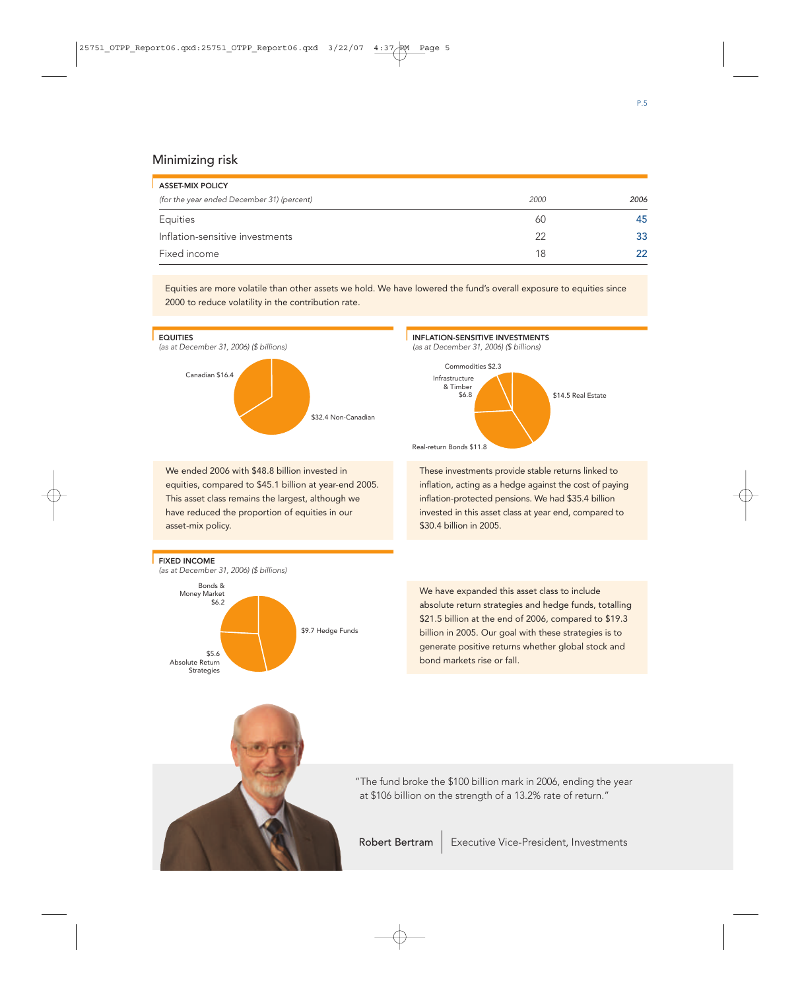## Minimizing risk

| <b>ASSET-MIX POLICY</b>                    |      |      |
|--------------------------------------------|------|------|
| (for the year ended December 31) (percent) | 2000 | 2006 |
| Equities                                   | 60   | 45   |
| Inflation-sensitive investments            | 22   | 33   |
| Fixed income                               | 18   | フフ   |

Equities are more volatile than other assets we hold. We have lowered the fund's overall exposure to equities since 2000 to reduce volatility in the contribution rate.

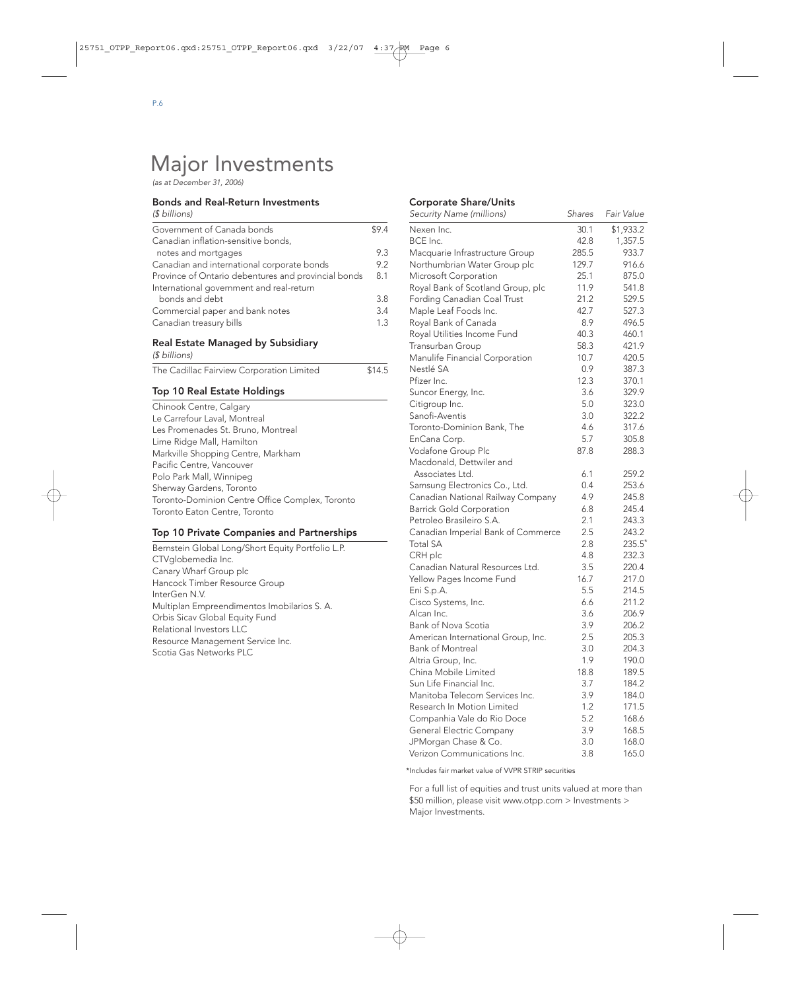# Major Investments

(as at December 31, 2006)

#### Bonds and Real-Return Investments

| (\$ billions)                                       |      |
|-----------------------------------------------------|------|
| Government of Canada bonds                          | \$94 |
| Canadian inflation-sensitive bonds,                 |      |
| notes and mortgages                                 | 93   |
| Canadian and international corporate bonds          | 92   |
| Province of Ontario debentures and provincial bonds | 8.1  |
| International government and real-return            |      |
| bonds and debt                                      | 3.8  |
| Commercial paper and bank notes                     | 3.4  |
| Canadian treasury bills                             | 1.3  |

# Real Estate Managed by Subsidiary

(\$ billions)

| The Cadillac Fairview Corporation Limited | \$14.5 |
|-------------------------------------------|--------|
|-------------------------------------------|--------|

#### Top 10 Real Estate Holdings

| Chinook Centre, Calgary                         |
|-------------------------------------------------|
| Le Carrefour Laval, Montreal                    |
| Les Promenades St. Bruno, Montreal              |
| Lime Ridge Mall, Hamilton                       |
| Markville Shopping Centre, Markham              |
| Pacific Centre, Vancouver                       |
| Polo Park Mall, Winnipeg                        |
| Sherway Gardens, Toronto                        |
| Toronto-Dominion Centre Office Complex, Toronto |
| Toronto Eaton Centre, Toronto                   |

#### Top 10 Private Companies and Partnerships

Bernstein Global Long/Short Equity Portfolio L.P. CTVglobemedia Inc. Canary Wharf Group plc Hancock Timber Resource Group InterGen N.V. Multiplan Empreendimentos Imobilarios S. A. Orbis Sicav Global Equity Fund Relational Investors LLC Resource Management Service Inc. Scotia Gas Networks PLC

#### Corporate Share/Units

| Security Name (millions)           | <b>Shares</b> | Fair Value |
|------------------------------------|---------------|------------|
| Nexen Inc.                         | 30.1          | \$1,933.2  |
| BCE Inc.                           | 42.8          | 1,357.5    |
| Macquarie Infrastructure Group     | 285.5         | 933.7      |
| Northumbrian Water Group plc       | 129.7         | 916.6      |
| Microsoft Corporation              | 25.1          | 875.0      |
| Royal Bank of Scotland Group, plc  | 11.9          | 541.8      |
| Fording Canadian Coal Trust        | 21.2          | 529.5      |
| Maple Leaf Foods Inc.              | 42.7          | 527.3      |
| Royal Bank of Canada               | 8.9           | 496.5      |
| Royal Utilities Income Fund        | 40.3          | 460.1      |
| Transurban Group                   | 58.3          | 421.9      |
| Manulife Financial Corporation     | 10.7          | 420.5      |
| Nestlé SA                          | 0.9           | 387.3      |
| Pfizer Inc.                        | 12.3          | 370.1      |
| Suncor Energy, Inc.                | 3.6           | 329.9      |
| Citigroup Inc.                     | 5.0           | 323.0      |
| Sanofi-Aventis                     | 3.0           | 322.2      |
| Toronto-Dominion Bank, The         | 4.6           | 317.6      |
| EnCana Corp.                       | 5.7           | 305.8      |
| Vodafone Group Plc                 | 87.8          | 288.3      |
| Macdonald, Dettwiler and           |               |            |
| Associates Ltd.                    | 6.1           | 259.2      |
| Samsung Electronics Co., Ltd.      | 0.4           | 253.6      |
| Canadian National Railway Company  | 4.9           | 245.8      |
| <b>Barrick Gold Corporation</b>    | 6.8           | 245.4      |
| Petroleo Brasileiro S.A.           | 2.1           | 243.3      |
| Canadian Imperial Bank of Commerce | 2.5           | 243.2      |
| <b>Total SA</b>                    | 2.8           | 235.5*     |
| CRH plc                            | 4.8           | 232.3      |
| Canadian Natural Resources Ltd.    | 3.5           | 220.4      |
| Yellow Pages Income Fund           | 16.7          | 217.0      |
| Eni S.p.A.                         | 5.5           | 214.5      |
| Cisco Systems, Inc.                | 6.6           | 211.2      |
| Alcan Inc.                         | 3.6           | 206.9      |
| Bank of Nova Scotia                | 3.9           | 206.2      |
| American International Group, Inc. | 2.5           | 205.3      |
| <b>Bank of Montreal</b>            | 3.0           | 204.3      |
| Altria Group, Inc.                 | 1.9           | 190.0      |
| China Mobile Limited               | 18.8          | 189.5      |
| Sun Life Financial Inc.            | 3.7           | 184.2      |
| Manitoba Telecom Services Inc.     | 3.9           | 184.0      |
|                                    |               |            |
| Research In Motion Limited         | 1.2           | 171.5      |
| Companhia Vale do Rio Doce         | 5.2           | 168.6      |
| <b>General Electric Company</b>    | 3.9           | 168.5      |
| JPMorgan Chase & Co.               | 3.0           | 168.0      |
| Verizon Communications Inc.        | 3.8           | 165.0      |

\*Includes fair market value of VVPR STRIP securities

For a full list of equities and trust units valued at more than \$50 million, please visit www.otpp.com > Investments > Major Investments.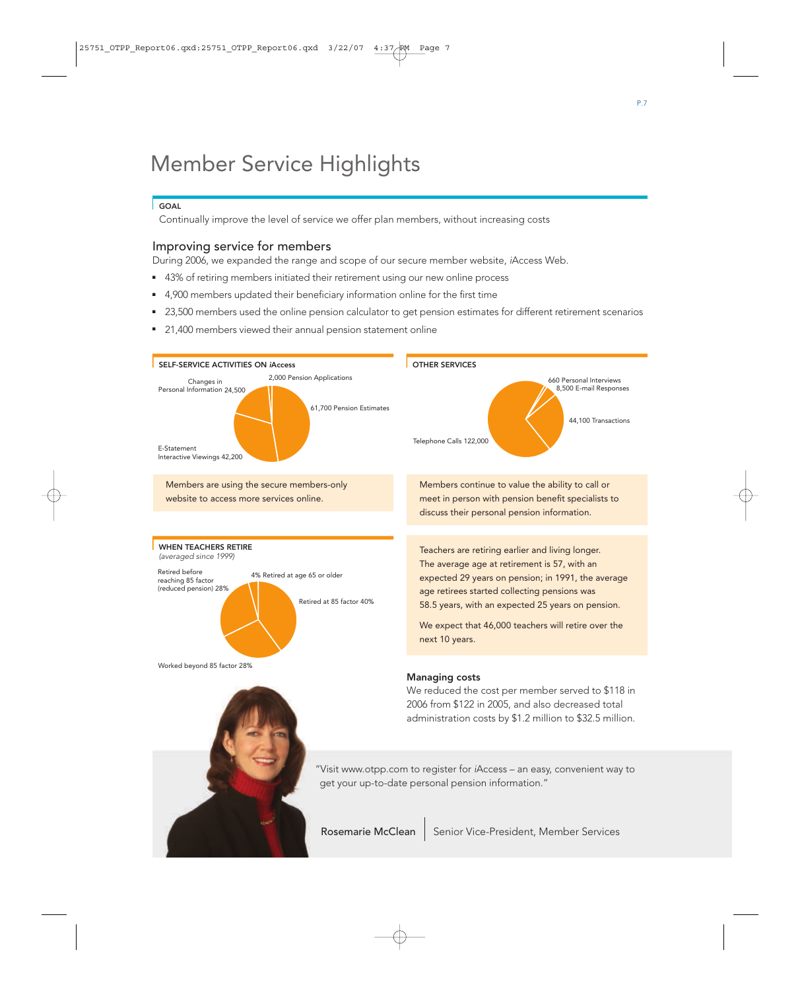# Member Service Highlights

### **GOAL**

Continually improve the level of service we offer plan members, without increasing costs

# Improving service for members

During 2006, we expanded the range and scope of our secure member website, <sup>i</sup>Access Web.

- 43% of retiring members initiated their retirement using our new online process
- 4,900 members updated their beneficiary information online for the first time
- 23,500 members used the online pension calculator to get pension estimates for different retirement scenarios
- 21,400 members viewed their annual pension statement online